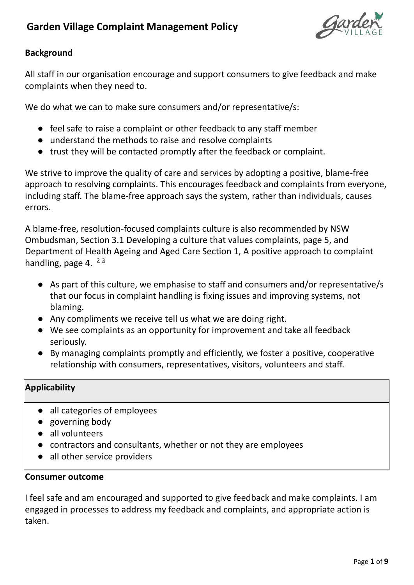

## **Background**

All staff in our organisation encourage and support consumers to give feedback and make complaints when they need to.

We do what we can to make sure consumers and/or representative/s:

- feel safe to raise a complaint or other feedback to any staff member
- understand the methods to raise and resolve complaints
- trust they will be contacted promptly after the feedback or complaint.

We strive to improve the quality of care and services by adopting a positive, blame-free approach to resolving complaints. This encourages feedback and complaints from everyone, including staff. The blame-free approach says the system, rather than individuals, causes errors.

A blame-free, resolution-focused complaints culture is also recommended by NSW Ombudsman, Section 3.1 Developing a culture that values complaints, page 5, and Department of Health Ageing and Aged Care Section 1, A positive approach to complaint handling, page 4. <sup>23</sup>

- As part of this culture, we emphasise to staff and consumers and/or representative/s that our focus in complaint handling is fixing issues and improving systems, not blaming.
- Any compliments we receive tell us what we are doing right.
- We see complaints as an opportunity for improvement and take all feedback seriously.
- By managing complaints promptly and efficiently, we foster a positive, cooperative relationship with consumers, representatives, visitors, volunteers and staff.

## **Applicability**

- all categories of employees
- governing body
- all volunteers
- contractors and consultants, whether or not they are employees
- all other service providers

#### **Consumer outcome**

I feel safe and am encouraged and supported to give feedback and make complaints. I am engaged in processes to address my feedback and complaints, and appropriate action is taken.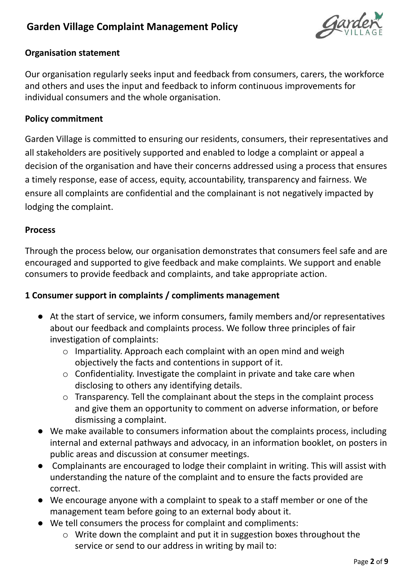

#### **Organisation statement**

Our organisation regularly seeks input and feedback from consumers, carers, the workforce and others and uses the input and feedback to inform continuous improvements for individual consumers and the whole organisation.

#### **Policy commitment**

Garden Village is committed to ensuring our residents, consumers, their representatives and all stakeholders are positively supported and enabled to lodge a complaint or appeal a decision of the organisation and have their concerns addressed using a process that ensures a timely response, ease of access, equity, accountability, transparency and fairness. We ensure all complaints are confidential and the complainant is not negatively impacted by lodging the complaint.

#### **Process**

Through the process below, our organisation demonstrates that consumers feel safe and are encouraged and supported to give feedback and make complaints. We support and enable consumers to provide feedback and complaints, and take appropriate action.

#### **1 Consumer support in complaints / compliments management**

- At the start of service, we inform consumers, family members and/or representatives about our feedback and complaints process. We follow three principles of fair investigation of complaints:
	- o Impartiality. Approach each complaint with an open mind and weigh objectively the facts and contentions in support of it.
	- o Confidentiality. Investigate the complaint in private and take care when disclosing to others any identifying details.
	- o Transparency. Tell the complainant about the steps in the complaint process and give them an opportunity to comment on adverse information, or before dismissing a complaint.
- We make available to consumers information about the complaints process, including internal and external pathways and advocacy, in an information booklet, on posters in public areas and discussion at consumer meetings.
- Complainants are encouraged to lodge their complaint in writing. This will assist with understanding the nature of the complaint and to ensure the facts provided are correct.
- We encourage anyone with a complaint to speak to a staff member or one of the management team before going to an external body about it.
- We tell consumers the process for complaint and compliments:
	- o Write down the complaint and put it in suggestion boxes throughout the service or send to our address in writing by mail to: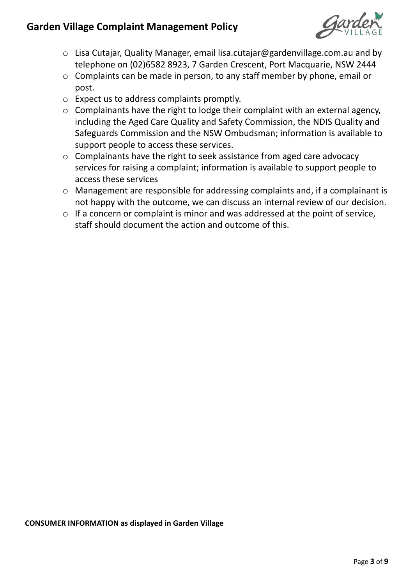

- o Lisa Cutajar, Quality Manager, email lisa.cutajar@gardenvillage.com.au and by telephone on (02)6582 8923, 7 Garden Crescent, Port Macquarie, NSW 2444
- o Complaints can be made in person, to any staff member by phone, email or post.
- o Expect us to address complaints promptly.
- o Complainants have the right to lodge their complaint with an external agency, including the Aged Care Quality and Safety Commission, the NDIS Quality and Safeguards Commission and the NSW Ombudsman; information is available to support people to access these services.
- o Complainants have the right to seek assistance from aged care advocacy services for raising a complaint; information is available to support people to access these services
- o Management are responsible for addressing complaints and, if a complainant is not happy with the outcome, we can discuss an internal review of our decision.
- o If a concern or complaint is minor and was addressed at the point of service, staff should document the action and outcome of this.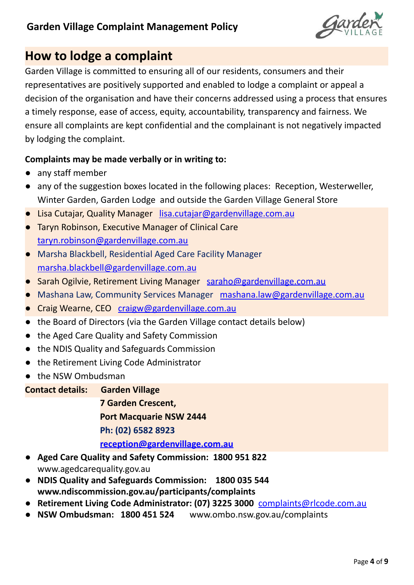

# **How to lodge a complaint**

Garden Village is committed to ensuring all of our residents, consumers and their representatives are positively supported and enabled to lodge a complaint or appeal a decision of the organisation and have their concerns addressed using a process that ensures a timely response, ease of access, equity, accountability, transparency and fairness. We ensure all complaints are kept confidential and the complainant is not negatively impacted by lodging the complaint.

## **Complaints may be made verbally or in writing to:**

- any staff member
- any of the suggestion boxes located in the following places: Reception, Westerweller, Winter Garden, Garden Lodge and outside the Garden Village General Store
- Lisa Cutajar, Quality Manager [lisa.cutajar@gardenvillage.com.au](mailto:lisa.cutajar@gardenvillage.com.au)
- Taryn Robinson, Executive Manager of Clinical Care [taryn.robinson@gardenvillage.com.au](mailto:taryn.robinson@gardenvillage.com.au)
- Marsha Blackbell, Residential Aged Care Facility Manager [marsha.blackbell@gardenvillage.com.au](mailto:marsha.blackbell@gardenvillage.com.au)
- Sarah Ogilvie, Retirement Living Manager [saraho@gardenvillage.com.au](mailto:saraho@gardenvillage.com.au)
- Mashana Law, Community Services Manager [mashana.law@gardenvillage.com.au](mailto:mashana.law@gardenvillage.com.au)
- Craig Wearne, CEO [craigw@gardenvillage.com.au](mailto:craigw@gardenvillage.com.au)
- the Board of Directors (via the Garden Village contact details below)
- the Aged Care Quality and Safety Commission
- the NDIS Quality and Safeguards Commission
- the Retirement Living Code Administrator
- the NSW Ombudsman

**Contact details: Garden Village**

**7 Garden Crescent, Port Macquarie NSW 2444 Ph: (02) 6582 8923 [reception@gardenvillage.com.au](mailto:reception@gardenvillage.com.au)**

- **● Aged Care Quality and Safety Commission: 1800 951 822** www.agedcarequality.gov.au
- **NDIS Quality and Safeguards Commission: 1800 035 544 www.ndiscommission.gov.au/participants/complaints**
- **● Retirement Living Code Administrator: (07) 3225 3000** [complaints@rlcode.com.au](mailto:complaints@rlcode.com.au)
- **● NSW Ombudsman: 1800 451 524** www.ombo.nsw.gov.au/complaints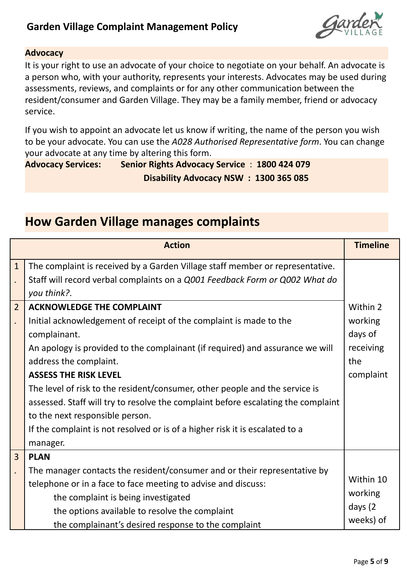

#### **Advocacy**

It is your right to use an advocate of your choice to negotiate on your behalf. An advocate is a person who, with your authority, represents your interests. Advocates may be used during assessments, reviews, and complaints or for any other communication between the resident/consumer and Garden Village. They may be a family member, friend or advocacy service.

If you wish to appoint an advocate let us know if writing, the name of the person you wish to be your advocate. You can use the *A028 Authorised Representative form*. You can change your advocate at any time by altering this form.

**Advocacy Services: Senior Rights Advocacy Service** : **1800 424 079 Disability Advocacy NSW : 1300 365 085**

|                                        | <b>Action</b>                                                                                                                                                                                                                                                                                                                                                                                                                                                                                                                                                        | <b>Timeline</b>                                                 |
|----------------------------------------|----------------------------------------------------------------------------------------------------------------------------------------------------------------------------------------------------------------------------------------------------------------------------------------------------------------------------------------------------------------------------------------------------------------------------------------------------------------------------------------------------------------------------------------------------------------------|-----------------------------------------------------------------|
| $\mathbf{1}$                           | The complaint is received by a Garden Village staff member or representative.<br>Staff will record verbal complaints on a Q001 Feedback Form or Q002 What do<br>you think?.                                                                                                                                                                                                                                                                                                                                                                                          |                                                                 |
| $\overline{2}$<br>$\ddot{\phantom{0}}$ | <b>ACKNOWLEDGE THE COMPLAINT</b><br>Initial acknowledgement of receipt of the complaint is made to the<br>complainant.<br>An apology is provided to the complainant (if required) and assurance we will<br>address the complaint.<br><b>ASSESS THE RISK LEVEL</b><br>The level of risk to the resident/consumer, other people and the service is<br>assessed. Staff will try to resolve the complaint before escalating the complaint<br>to the next responsible person.<br>If the complaint is not resolved or is of a higher risk it is escalated to a<br>manager. | Within 2<br>working<br>days of<br>receiving<br>the<br>complaint |
| $\overline{3}$                         | <b>PLAN</b><br>The manager contacts the resident/consumer and or their representative by<br>telephone or in a face to face meeting to advise and discuss:<br>the complaint is being investigated<br>the options available to resolve the complaint<br>the complainant's desired response to the complaint                                                                                                                                                                                                                                                            | Within 10<br>working<br>days (2<br>weeks) of                    |

# **How Garden Village manages complaints**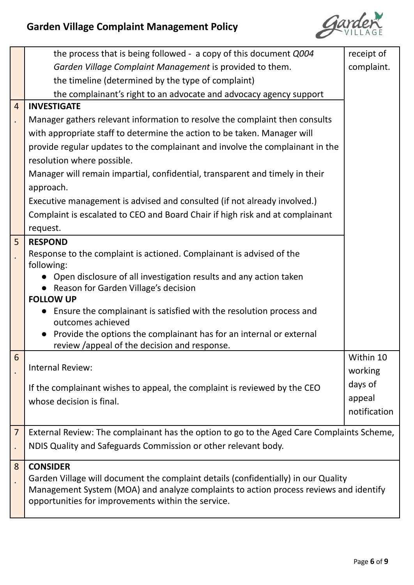

|                | the process that is being followed - a copy of this document Q004                                                                                                           | receipt of   |  |
|----------------|-----------------------------------------------------------------------------------------------------------------------------------------------------------------------------|--------------|--|
|                | Garden Village Complaint Management is provided to them.                                                                                                                    | complaint.   |  |
|                | the timeline (determined by the type of complaint)                                                                                                                          |              |  |
|                | the complainant's right to an advocate and advocacy agency support                                                                                                          |              |  |
| $\overline{4}$ | <b>INVESTIGATE</b>                                                                                                                                                          |              |  |
|                | Manager gathers relevant information to resolve the complaint then consults                                                                                                 |              |  |
|                | with appropriate staff to determine the action to be taken. Manager will                                                                                                    |              |  |
|                | provide regular updates to the complainant and involve the complainant in the                                                                                               |              |  |
|                | resolution where possible.                                                                                                                                                  |              |  |
|                | Manager will remain impartial, confidential, transparent and timely in their                                                                                                |              |  |
|                | approach.                                                                                                                                                                   |              |  |
|                | Executive management is advised and consulted (if not already involved.)                                                                                                    |              |  |
|                | Complaint is escalated to CEO and Board Chair if high risk and at complainant                                                                                               |              |  |
|                | request.                                                                                                                                                                    |              |  |
| 5              | <b>RESPOND</b>                                                                                                                                                              |              |  |
|                | Response to the complaint is actioned. Complainant is advised of the                                                                                                        |              |  |
|                | following:                                                                                                                                                                  |              |  |
|                | Open disclosure of all investigation results and any action taken                                                                                                           |              |  |
|                | Reason for Garden Village's decision<br><b>FOLLOW UP</b>                                                                                                                    |              |  |
|                | Ensure the complainant is satisfied with the resolution process and                                                                                                         |              |  |
|                | outcomes achieved                                                                                                                                                           |              |  |
|                | Provide the options the complainant has for an internal or external                                                                                                         |              |  |
|                | review /appeal of the decision and response.                                                                                                                                |              |  |
| 6              | Internal Review:                                                                                                                                                            | Within 10    |  |
|                |                                                                                                                                                                             | working      |  |
|                | If the complainant wishes to appeal, the complaint is reviewed by the CEO                                                                                                   | days of      |  |
|                | whose decision is final.                                                                                                                                                    | appeal       |  |
|                |                                                                                                                                                                             | notification |  |
| $\overline{7}$ | External Review: The complainant has the option to go to the Aged Care Complaints Scheme,                                                                                   |              |  |
|                | NDIS Quality and Safeguards Commission or other relevant body.                                                                                                              |              |  |
|                |                                                                                                                                                                             |              |  |
| 8              | <b>CONSIDER</b>                                                                                                                                                             |              |  |
|                | Garden Village will document the complaint details (confidentially) in our Quality<br>Management System (MOA) and analyze complaints to action process reviews and identify |              |  |
|                | opportunities for improvements within the service.                                                                                                                          |              |  |
|                |                                                                                                                                                                             |              |  |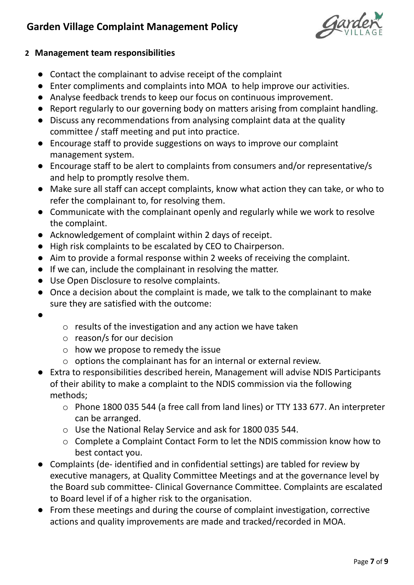

#### **2 Management team responsibilities**

- Contact the complainant to advise receipt of the complaint
- Enter compliments and complaints into MOA to help improve our activities.
- Analyse feedback trends to keep our focus on continuous improvement.
- Report regularly to our governing body on matters arising from complaint handling.
- Discuss any recommendations from analysing complaint data at the quality committee / staff meeting and put into practice.
- Encourage staff to provide suggestions on ways to improve our complaint management system.
- Encourage staff to be alert to complaints from consumers and/or representative/s and help to promptly resolve them.
- Make sure all staff can accept complaints, know what action they can take, or who to refer the complainant to, for resolving them.
- Communicate with the complainant openly and regularly while we work to resolve the complaint.
- Acknowledgement of complaint within 2 days of receipt.
- High risk complaints to be escalated by CEO to Chairperson.
- Aim to provide a formal response within 2 weeks of receiving the complaint.
- If we can, include the complainant in resolving the matter.
- Use Open Disclosure to resolve complaints.
- Once a decision about the complaint is made, we talk to the complainant to make sure they are satisfied with the outcome:
- ●
- o results of the investigation and any action we have taken
- o reason/s for our decision
- o how we propose to remedy the issue
- o options the complainant has for an internal or external review.
- Extra to responsibilities described herein, Management will advise NDIS Participants of their ability to make a complaint to the NDIS commission via the following methods;
	- o Phone 1800 035 544 (a free call from land lines) or TTY 133 677. An interpreter can be arranged.
	- o Use the National Relay Service and ask for 1800 035 544.
	- o Complete a Complaint Contact Form to let the NDIS commission know how to best contact you.
- Complaints (de- identified and in confidential settings) are tabled for review by executive managers, at Quality Committee Meetings and at the governance level by the Board sub committee- Clinical Governance Committee. Complaints are escalated to Board level if of a higher risk to the organisation.
- From these meetings and during the course of complaint investigation, corrective actions and quality improvements are made and tracked/recorded in MOA.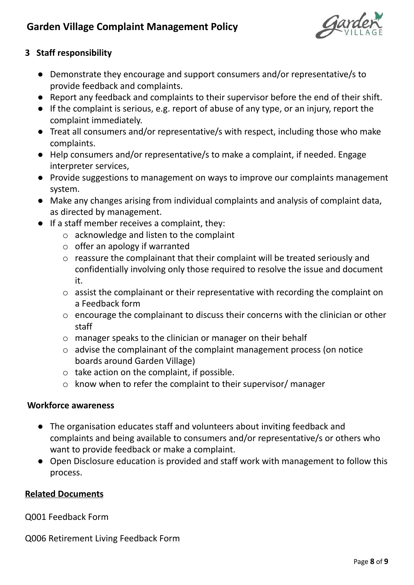

## **3 Staff responsibility**

- Demonstrate they encourage and support consumers and/or representative/s to provide feedback and complaints.
- Report any feedback and complaints to their supervisor before the end of their shift.
- If the complaint is serious, e.g. report of abuse of any type, or an injury, report the complaint immediately.
- Treat all consumers and/or representative/s with respect, including those who make complaints.
- Help consumers and/or representative/s to make a complaint, if needed. Engage interpreter services,
- Provide suggestions to management on ways to improve our complaints management system.
- Make any changes arising from individual complaints and analysis of complaint data, as directed by management.
- If a staff member receives a complaint, they:
	- o acknowledge and listen to the complaint
	- $\circ$  offer an apology if warranted
	- o reassure the complainant that their complaint will be treated seriously and confidentially involving only those required to resolve the issue and document it.
	- o assist the complainant or their representative with recording the complaint on a Feedback form
	- o encourage the complainant to discuss their concerns with the clinician or other staff
	- o manager speaks to the clinician or manager on their behalf
	- o advise the complainant of the complaint management process (on notice boards around Garden Village)
	- o take action on the complaint, if possible.
	- o know when to refer the complaint to their supervisor/ manager

## **Workforce awareness**

- The organisation educates staff and volunteers about inviting feedback and complaints and being available to consumers and/or representative/s or others who want to provide feedback or make a complaint.
- Open Disclosure education is provided and staff work with management to follow this process.

## **Related Documents**

Q001 Feedback Form

Q006 Retirement Living Feedback Form